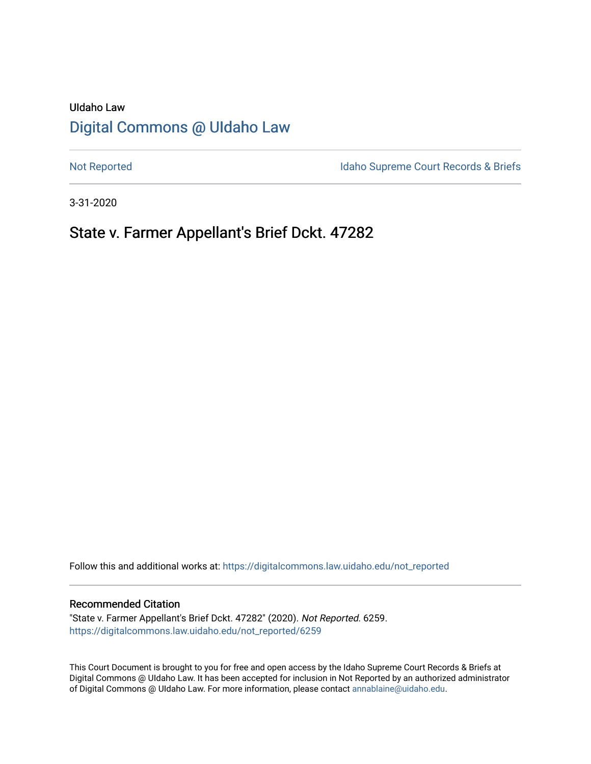# UIdaho Law [Digital Commons @ UIdaho Law](https://digitalcommons.law.uidaho.edu/)

[Not Reported](https://digitalcommons.law.uidaho.edu/not_reported) **Idaho Supreme Court Records & Briefs** 

3-31-2020

## State v. Farmer Appellant's Brief Dckt. 47282

Follow this and additional works at: [https://digitalcommons.law.uidaho.edu/not\\_reported](https://digitalcommons.law.uidaho.edu/not_reported?utm_source=digitalcommons.law.uidaho.edu%2Fnot_reported%2F6259&utm_medium=PDF&utm_campaign=PDFCoverPages) 

#### Recommended Citation

"State v. Farmer Appellant's Brief Dckt. 47282" (2020). Not Reported. 6259. [https://digitalcommons.law.uidaho.edu/not\\_reported/6259](https://digitalcommons.law.uidaho.edu/not_reported/6259?utm_source=digitalcommons.law.uidaho.edu%2Fnot_reported%2F6259&utm_medium=PDF&utm_campaign=PDFCoverPages)

This Court Document is brought to you for free and open access by the Idaho Supreme Court Records & Briefs at Digital Commons @ UIdaho Law. It has been accepted for inclusion in Not Reported by an authorized administrator of Digital Commons @ UIdaho Law. For more information, please contact [annablaine@uidaho.edu](mailto:annablaine@uidaho.edu).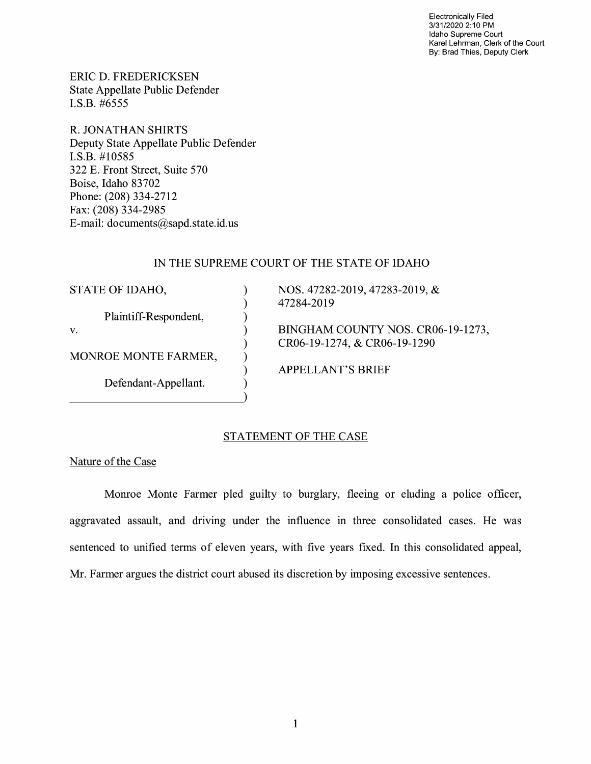Electronically Filed 3/31/2020 2:10 PM Idaho Supreme Court Karel Lehrman, Clerk of the Court By: Brad Thies, Deputy Clerk

ERIC D. FREDERICKSEN State Appellate Public Defender I.S.B. #6555

R. JONATHAN SHIRTS Deputy State Appellate Public Defender I.S.B. #10585 322 E. Front Street, Suite 570 Boise, Idaho 83702 Phone: (208) 334-2712 Fax: (208) 334-2985 E-mail: documents@sapd.state.id. us

## IN THE SUPREME COURT OF THE STATE OF IDAHO

) ) ) ) ) ) ) )

STATE OF IDAHO,

Plaintiff-Respondent,

V.

MONROE MONTE FARMER,

Defendant-Appellant.

NOS. 47282-2019, 47283-2019, & 47284-2019

BINGHAM COUNTY NOS. CR06-19-1273, CR06-19-1274, & CR06-19-1290

APPELLANT'S BRIEF

## STATEMENT OF THE CASE

Nature of the Case

Monroe Monte Farmer pied guilty to burglary, fleeing or eluding a police officer, aggravated assault, and driving under the influence in three consolidated cases. He was sentenced to unified terms of eleven years, with five years fixed. In this consolidated appeal, Mr. Farmer argues the district court abused its discretion by imposing excessive sentences.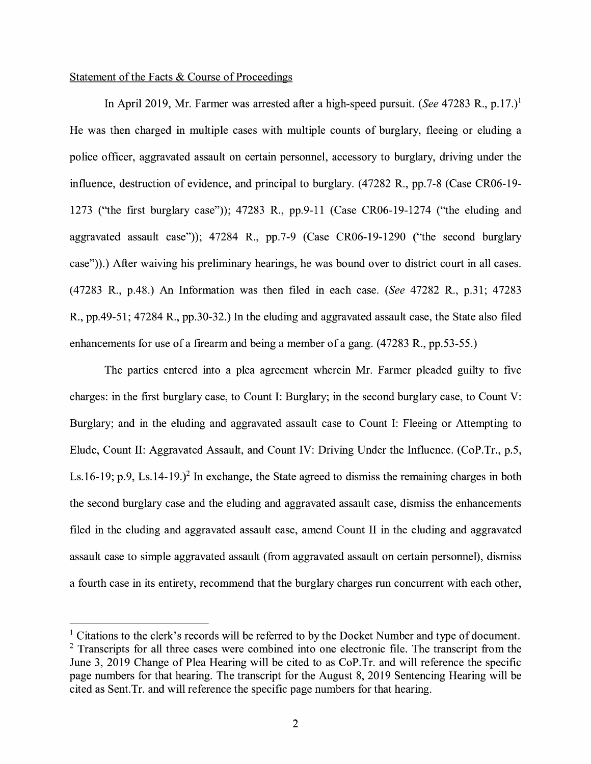### Statement of the Facts & Course of Proceedings

In April 2019, Mr. Farmer was arrested after a high-speed pursuit. *(See* 47283 R., p.17.)<sup>1</sup> He was then charged in multiple cases with multiple counts of burglary, fleeing or eluding a police officer, aggravated assault on certain personnel, accessory to burglary, driving under the influence, destruction of evidence, and principal to burglary. (47282 R., pp.7-8 (Case CR06-19- 1273 ("the first burglary case")); 47283 R., pp.9-11 (Case CR06-19-1274 ("the eluding and aggravated assault case")); 47284 R., pp.7-9 (Case CR06-19-1290 ("the second burglary case")).) After waiving his preliminary hearings, he was bound over to district court in all cases. (47283 R., p.48.) An Information was then filed in each case. *(See* 47282 R., p.31; 47283 R., pp.49-51; 47284 R., pp.30-32.) In the eluding and aggravated assault case, the State also filed enhancements for use of a firearm and being a member of a gang. (47283 R., pp.53-55.)

The parties entered into a plea agreement wherein Mr. Farmer pleaded guilty to five charges: in the first burglary case, to Count I: Burglary; in the second burglary case, to Count V: Burglary; and in the eluding and aggravated assault case to Count I: Fleeing or Attempting to Elude, Count II: Aggravated Assault, and Count IV: Driving Under the Influence. (CoP.Tr., p.5, Ls.16-19; p.9, Ls.14-19.)<sup>2</sup> In exchange, the State agreed to dismiss the remaining charges in both the second burglary case and the eluding and aggravated assault case, dismiss the enhancements filed in the eluding and aggravated assault case, amend Count II in the eluding and aggravated assault case to simple aggravated assault (from aggravated assault on certain personnel), dismiss a fourth case in its entirety, recommend that the burglary charges run concurrent with each other,

 $<sup>1</sup>$  Citations to the clerk's records will be referred to by the Docket Number and type of document.</sup>  $2$  Transcripts for all three cases were combined into one electronic file. The transcript from the June 3, 2019 Change of Plea Hearing will be cited to as CoP.Tr. and will reference the specific page numbers for that hearing. The transcript for the August 8, 2019 Sentencing Hearing will be cited as Sent. Tr. and will reference the specific page numbers for that hearing.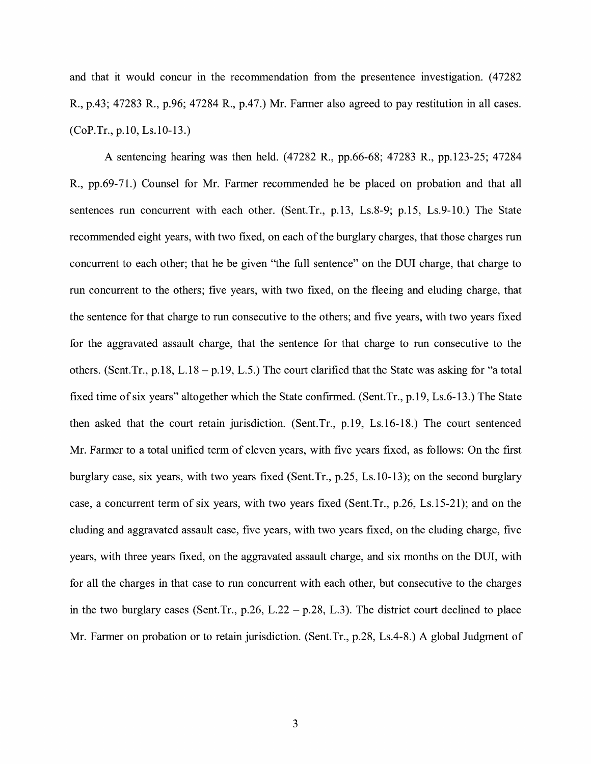and that it would concur in the recommendation from the presentence investigation. (47282) R., p.43; 47283 R., p.96; 47284 R., p.47.) Mr. Farmer also agreed to pay restitution in all cases. (CoP.Tr., p.10, Ls.10-13.)

A sentencing hearing was then held. (47282 R., pp.66-68; 47283 R., pp.123-25; 47284 R., pp.69-71.) Counsel for Mr. Farmer recommended he be placed on probation and that all sentences run concurrent with each other. (Sent.Tr., p.13, Ls.8-9; p.15, Ls.9-10.) The State recommended eight years, with two fixed, on each of the burglary charges, that those charges run concurrent to each other; that he be given "the full sentence" on the DUI charge, that charge to run concurrent to the others; five years, with two fixed, on the fleeing and eluding charge, that the sentence for that charge to run consecutive to the others; and five years, with two years fixed for the aggravated assault charge, that the sentence for that charge to run consecutive to the others. (Sent.Tr., p.18, L.18 - p.19, L.5.) The court clarified that the State was asking for "a total fixed time of six years" altogether which the State confirmed. (Sent.Tr., p.19, Ls.6-13.) The State then asked that the court retain jurisdiction. (Sent.Tr., p.19, Ls.16-18.) The court sentenced Mr. Farmer to a total unified term of eleven years, with five years fixed, as follows: On the first burglary case, six years, with two years fixed (Sent.Tr., p.25, Ls.10-13); on the second burglary case, a concurrent term of six years, with two years fixed (Sent.Tr., p.26, Ls.15-21); and on the eluding and aggravated assault case, five years, with two years fixed, on the eluding charge, five years, with three years fixed, on the aggravated assault charge, and six months on the DUI, with for all the charges in that case to run concurrent with each other, but consecutive to the charges in the two burglary cases (Sent. Tr., p.26, L.22 – p.28, L.3). The district court declined to place Mr. Farmer on probation or to retain jurisdiction. (Sent.Tr., p.28, Ls.4-8.) A global Judgment of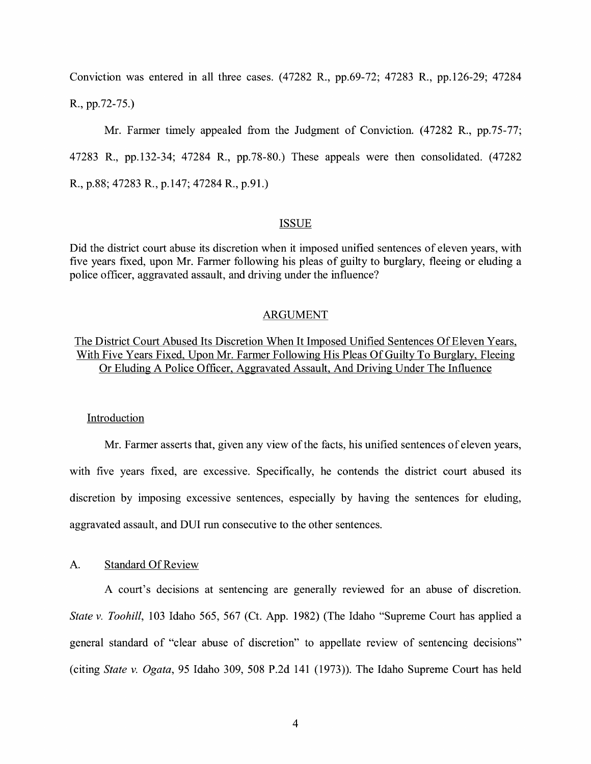Conviction was entered in all three cases. (47282 R., pp.69-72; 47283 R., pp.126-29; 47284 R., pp.72-75.)

Mr. Farmer timely appealed from the Judgment of Conviction. (47282 R., pp.75-77; 47283 R., pp.132-34; 47284 R., pp.78-80.) These appeals were then consolidated. (47282 **R.,** p.88; 47283 R., p.147; 47284 R., p.91.)

#### ISSUE

Did the district court abuse its discretion when it imposed unified sentences of eleven years, with five years fixed, upon Mr. Farmer following his pleas of guilty to burglary, fleeing or eluding a police officer, aggravated assault, and driving under the influence?

#### ARGUMENT

The District Court Abused Its Discretion When It Imposed Unified Sentences Of Eleven Years, With Five Years Fixed, Upon Mr. Farmer Following His Pleas Of Guilty To Burglary, Fleeing Or Eluding A Police Officer, Aggravated Assault, And Driving Under The Influence

#### Introduction

Mr. Farmer asserts that, given any view of the facts, his unified sentences of eleven years, with five years fixed, are excessive. Specifically, he contends the district court abused its discretion by imposing excessive sentences, especially by having the sentences for eluding, aggravated assault, and DUI run consecutive to the other sentences.

#### A. Standard Of Review

A court's decisions at sentencing are generally reviewed for an abuse of discretion. *State v. Toohill,* 103 Idaho 565, 567 (Ct. App. 1982) (The Idaho "Supreme Court has applied a general standard of "clear abuse of discretion" to appellate review of sentencing decisions" (citing *State v. Ogata,* 95 Idaho 309, 508 P.2d 141 (1973)). The Idaho Supreme Court has held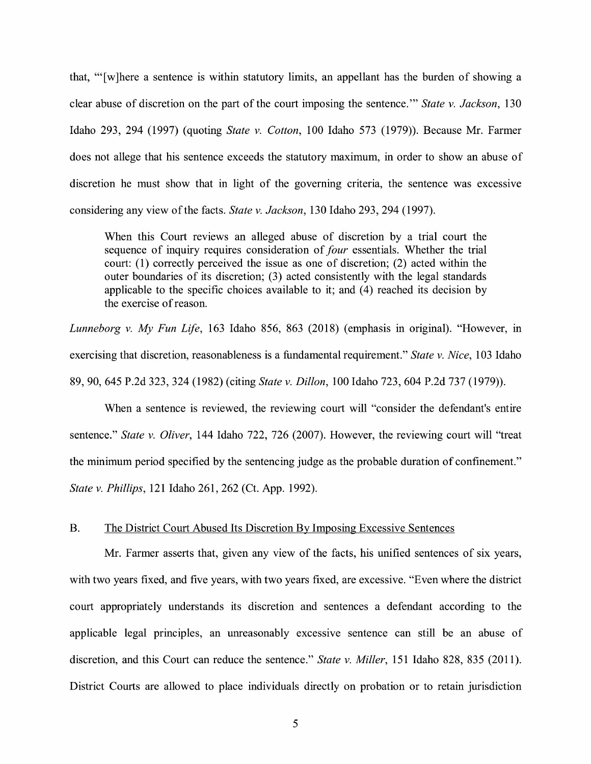that, '" [ w ]here a sentence is within statutory limits, an appellant has the burden of showing a clear abuse of discretion on the part of the court imposing the sentence."' *State v. Jackson,* 130 Idaho 293, 294 (1997) (quoting *State v. Cotton,* 100 Idaho 573 (1979)). Because Mr. Farmer does not allege that his sentence exceeds the statutory maximum, in order to show an abuse of discretion he must show that in light of the governing criteria, the sentence was excessive considering any view of the facts. *State v. Jackson,* 130 Idaho 293, 294 (1997).

When this Court reviews an alleged abuse of discretion by a trial court the sequence of inquiry requires consideration of *four* essentials. Whether the trial court: (1) correctly perceived the issue as one of discretion; (2) acted within the outer boundaries of its discretion; (3) acted consistently with the legal standards applicable to the specific choices available to it; and  $(4)$  reached its decision by the exercise of reason.

*Lunneborg v. My Fun Life*, 163 Idaho 856, 863 (2018) (emphasis in original). "However, in exercising that discretion, reasonableness is a fundamental requirement." *State v. Nice,* 103 Idaho 89, 90, 645 P.2d 323, 324 (1982) (citing *State v. Dillon,* 100 Idaho 723, 604 P.2d 737 (1979)).

When a sentence is reviewed, the reviewing court will "consider the defendant's entire sentence." *State v. Oliver,* 144 Idaho 722, 726 (2007). However, the reviewing court will "treat the minimum period specified by the sentencing judge as the probable duration of confinement." *State v. Phillips,* 121 Idaho 261, 262 (Ct. App. 1992).

#### B. The District Court Abused Its Discretion By Imposing Excessive Sentences

Mr. Farmer asserts that, given any view of the facts, his unified sentences of six years, with two years fixed, and five years, with two years fixed, are excessive. "Even where the district court appropriately understands its discretion and sentences a defendant according to the applicable legal principles, an unreasonably excessive sentence can still be an abuse of discretion, and this Court can reduce the sentence." *State v. Miller,* 151 Idaho 828, 835 (2011). District Courts are allowed to place individuals directly on probation or to retain jurisdiction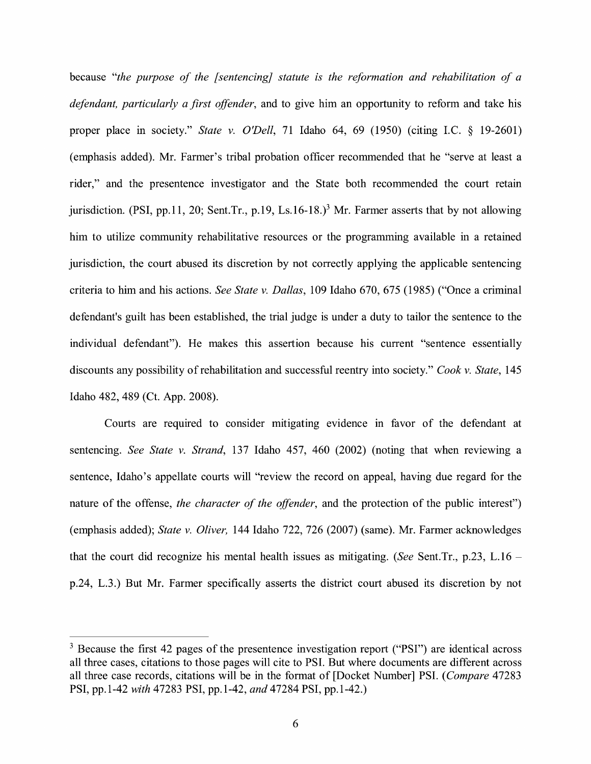because *"the purpose of the [sentencing] statute is the reformation and rehabilitation of a defendant, particularly a first offender,* and to give him an opportunity to reform and take his proper place in society." *State v. O'Dell,* 71 Idaho 64, 69 (1950) (citing LC. § 19-2601) (emphasis added). Mr. Farmer's tribal probation officer recommended that he "serve at least a rider," and the presentence investigator and the State both recommended the court retain jurisdiction. (PSI, pp.11, 20; Sent.Tr., p.19, Ls.16-18.)<sup>3</sup> Mr. Farmer asserts that by not allowing him to utilize community rehabilitative resources or the programming available in a retained jurisdiction, the court abused its discretion by not correctly applying the applicable sentencing criteria to him and his actions. *See State v. Dallas,* 109 Idaho 670, 675 (1985) ("Once a criminal defendant's guilt has been established, the trial judge is under a duty to tailor the sentence to the individual defendant"). He makes this assertion because his current "sentence essentially discounts any possibility ofrehabilitation and successful reentry into society." *Cook v. State,* 145 Idaho 482, 489 (Ct. App. 2008).

Courts are required to consider mitigating evidence in favor of the defendant at sentencing. *See State v. Strand,* 137 Idaho 457, 460 (2002) (noting that when reviewing a sentence, Idaho's appellate courts will "review the record on appeal, having due regard for the nature of the offense, *the character of the offender,* and the protection of the public interest") (emphasis added); *State v. Oliver,* 144 Idaho 722, 726 (2007) (same). Mr. Farmer acknowledges that the court did recognize his mental health issues as mitigating. *(See* Sent.Tr., p.23, L.16 p.24, L.3.) But Mr. Farmer specifically asserts the district court abused its discretion by not

 $3$  Because the first 42 pages of the presentence investigation report ("PSI") are identical across all three cases, citations to those pages will cite to PSI. But where documents are different across all three case records, citations will be in the format of [Docket Number] PSI. (*Compare* 47283 PSI, pp.1-42 *with* 47283 PSI, pp.1-42, *and* 47284 PSI, pp.1-42.)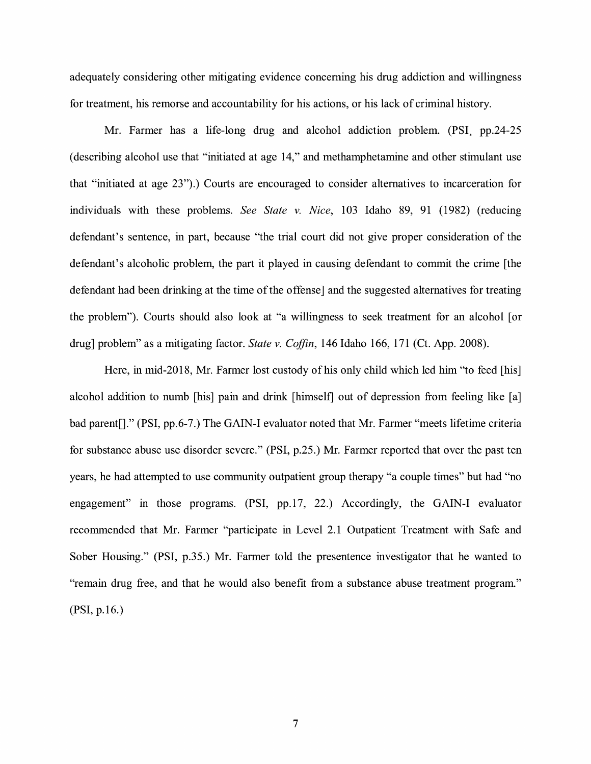adequately considering other mitigating evidence concerning his drug addiction and willingness for treatment, his remorse and accountability for his actions, or his lack of criminal history.

Mr. Farmer has a life-long drug and alcohol addiction problem. **(PSI,** pp.24-25 ( describing alcohol use that "initiated at age 14," and methamphetamine and other stimulant use that "initiated at age 23").) Courts are encouraged to consider alternatives to incarceration for individuals with these problems. *See State v. Nice,* 103 Idaho 89, 91 (1982) (reducing defendant's sentence, in part, because "the trial court did not give proper consideration of the defendant's alcoholic problem, the part it played in causing defendant to commit the crime [the defendant had been drinking at the time of the offense] and the suggested alternatives for treating the problem"). Courts should also look at "a willingness to seek treatment for an alcohol [ or drug] problem" as a mitigating factor. *State v. Coffin,* 146 Idaho 166, 171 (Ct. App. 2008).

Here, in mid-2018, Mr. Farmer lost custody of his only child which led him "to feed [his] alcohol addition to numb [his] pain and drink [himself] out of depression from feeling like [a] bad parent[]." (PSI, pp.6-7.) The GAIN-I evaluator noted that Mr. Farmer "meets lifetime criteria for substance abuse use disorder severe." (PSI, p.25.) Mr. Farmer reported that over the past ten years, he had attempted to use community outpatient group therapy "a couple times" but had "no engagement" in those programs. (PSI, pp.17, 22.) Accordingly, the GAIN-I evaluator recommended that Mr. Farmer "participate in Level 2.1 Outpatient Treatment with Safe and Sober Housing." (PSI, p.35.) Mr. Farmer told the presentence investigator that he wanted to "remain drug free, and that he would also benefit from a substance abuse treatment program." (PSI, p.16.)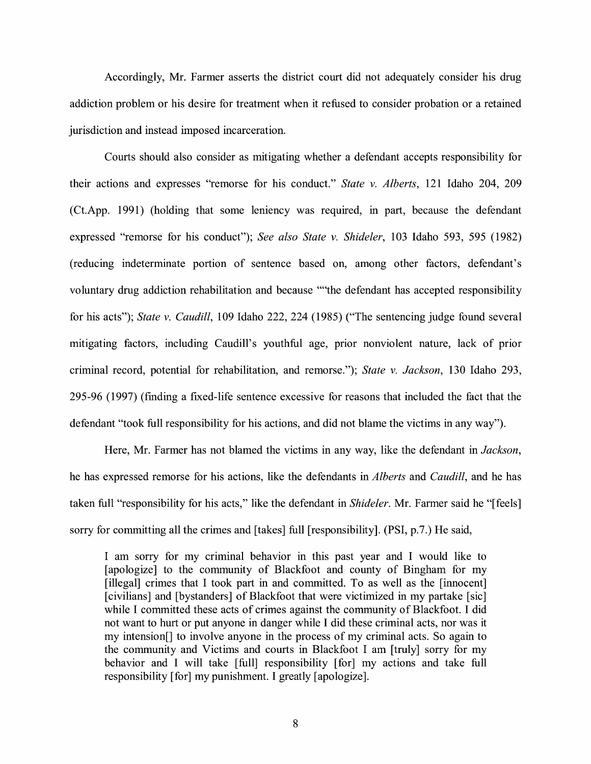Accordingly, Mr. Farmer asserts the district court did not adequately consider his drug addiction problem or his desire for treatment when it refused to consider probation or a retained jurisdiction and instead imposed incarceration.

Courts should also consider as mitigating whether a defendant accepts responsibility for their actions and expresses "remorse for his conduct." *State v. Alberts,* 121 Idaho 204, 209 (Ct.App. 1991) (holding that some leniency was required, in part, because the defendant expressed "remorse for his conduct"); *See also State v. Shideler,* 103 Idaho 593, 595 (1982) (reducing indeterminate portion of sentence based on, among other factors, defendant's voluntary drug addiction rehabilitation and because ""the defendant has accepted responsibility for his acts"); *State v. Caudill,* 109 Idaho 222, 224 (1985) ("The sentencing judge found several mitigating factors, including Caudill's youthful age, prior nonviolent nature, lack of prior criminal record, potential for rehabilitation, and remorse."); *State v. Jackson,* 130 Idaho 293, 295-96 (1997) (finding a fixed-life sentence excessive for reasons that included the fact that the defendant "took full responsibility for his actions, and did not blame the victims in any way").

Here, Mr. Farmer has not blamed the victims in any way, like the defendant in *Jackson,*  he has expressed remorse for his actions, like the defendants in *Alberts* and *Caudill,* and he has taken full "responsibility for his acts," like the defendant in *Shideler.* Mr. Farmer said he "[feels] sorry for committing all the crimes and [takes] full [responsibility]. (PSI, p.7.) He said,

I am sorry for my criminal behavior in this past year and I would like to [apologize] to the community of Blackfoot and county of Bingham for my [illegal] crimes that I took part in and committed. To as well as the [innocent] [civilians] and [bystanders] of Blackfoot that were victimized in my partake [sic] while I committed these acts of crimes against the community of Blackfoot. I did not want to hurt or put anyone in danger while I did these criminal acts, nor was it my intension[] to involve anyone in the process of my criminal acts. So again to the community and Victims and courts in Blackfoot I am [truly] sorry for my behavior and I will take [full] responsibility [for] my actions and take full responsibility [for] my punishment. I greatly [ apologize].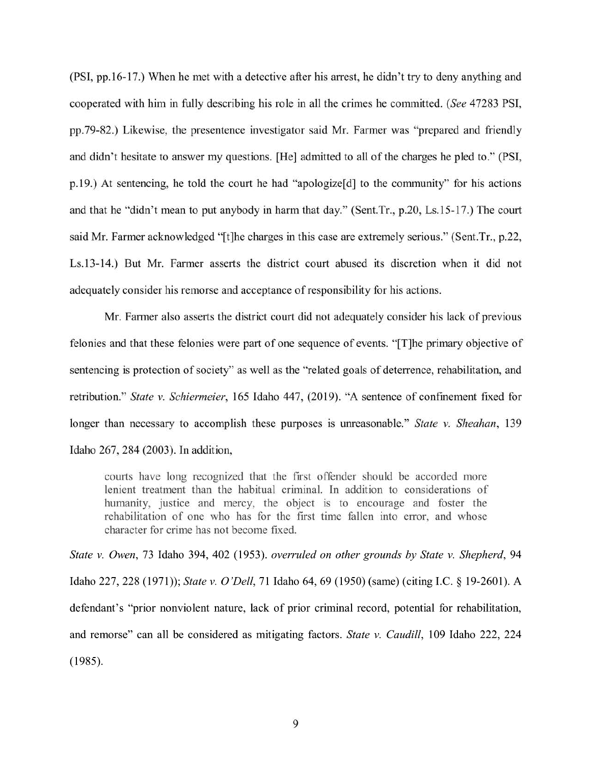(PSI, pp.16-17.) When he met with a detective after his arrest, he didn't try to deny anything and cooperated with him in fully describing his role in all the crimes he committed. *(See* 47283 PSI, pp.79-82.) Likewise, the presentence investigator said Mr. Farmer was "prepared and friendly and didn't hesitate to answer my questions. [He] admitted to all of the charges he pled to." (PSI, p.19.) At sentencing, he told the court he had "apologize[d] to the community" for his actions and that he "didn't mean to put anybody in harm that day." (Sent.Tr., p.20, Ls.15-17.) The court said Mr. Farmer acknowledged "[t]he charges in this case are extremely serious." (Sent.Tr., p.22, Ls.13-14.) But Mr. Farmer asserts the district court abused its discretion when it did not adequately consider his remorse and acceptance of responsibility for his actions.

Mr. Farmer also asserts the district court did not adequately consider his lack of previous felonies and that these felonies were part of one sequence of events. "[T]he primary objective of sentencing is protection of society" as well as the "related goals of deterrence, rehabilitation, and retribution." *State v. Schiermeier,* 165 Idaho 447, (2019). "A sentence of confinement fixed for longer than necessary to accomplish these purposes is unreasonable." *State v. Sheahan,* 139 Idaho 267, 284 (2003). In addition,

courts have long recognized that the first offender should be accorded more lenient treatment than the habitual criminal. In addition to considerations of humanity, justice and mercy, the object is to encourage and foster the rehabilitation of one who has for the first time fallen into error, and whose character for crime has not become fixed.

*State v. Owen,* 73 Idaho 394, 402 (1953). *overruled on other grounds by State v. Shepherd,* 94 Idaho 227,228 (1971)); *State v. O'Dell,* 71 Idaho 64, 69 (1950) (same) (citing LC.§ 19-2601). A defendant's "prior nonviolent nature, lack of prior criminal record, potential for rehabilitation, and remorse" can all be considered as mitigating factors. *State v. Caudill,* 109 Idaho 222, 224 (1985).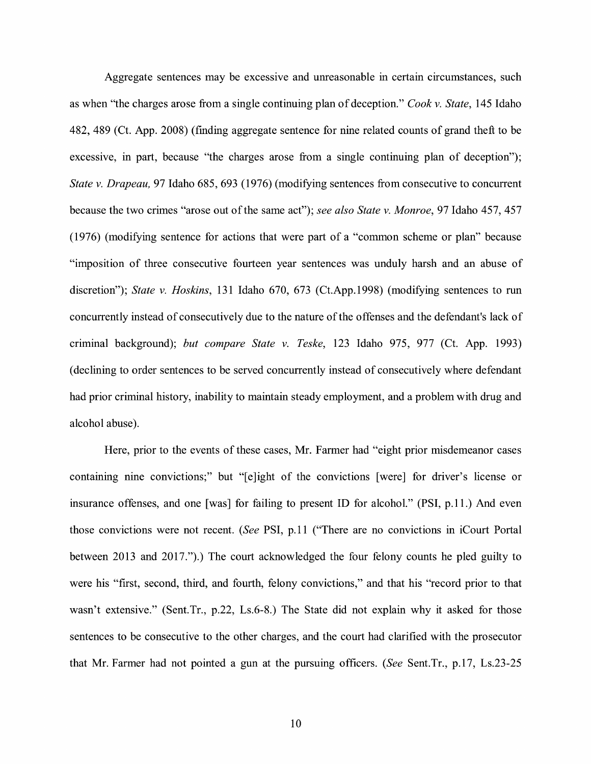Aggregate sentences may be excessive and unreasonable in certain circumstances, such as when "the charges arose from a single continuing plan of deception." *Cook v. State,* 145 Idaho 482, 489 (Ct. App. 2008) (finding aggregate sentence for nine related counts of grand theft to be excessive, in part, because "the charges arose from a single continuing plan of deception"); *State v. Drapeau,* 97 Idaho 685, 693 (1976) (modifying sentences from consecutive to concurrent because the two crimes "arose out of the same act"); *see also State v. Monroe,* 97 Idaho 457, 457 (1976) (modifying sentence for actions that were part of a "common scheme or plan" because "imposition of three consecutive fourteen year sentences was unduly harsh and an abuse of discretion"); *State v. Hoskins,* 131 Idaho 670, 673 (Ct.App.1998) (modifying sentences to run concurrently instead of consecutively due to the nature of the offenses and the defendant's lack of criminal background); *but compare State v. Teske,* 123 Idaho 975, 977 (Ct. App. 1993) ( declining to order sentences to be served concurrently instead of consecutively where defendant had prior criminal history, inability to maintain steady employment, and a problem with drug and alcohol abuse).

Here, prior to the events of these cases, Mr. Farmer had "eight prior misdemeanor cases containing nine convictions;" but "[e]ight of the convictions [were] for driver's license or insurance offenses, and one [was] for failing to present ID for alcohol." (PSI, p.11.) And even those convictions were not recent. *(See* PSI, p.11 ("There are no convictions in iCourt Portal between 2013 and 2017.").) The court acknowledged the four felony counts he pled guilty to were his "first, second, third, and fourth, felony convictions," and that his "record prior to that wasn't extensive." (Sent.Tr., p.22, Ls.6-8.) The State did not explain why it asked for those sentences to be consecutive to the other charges, and the court had clarified with the prosecutor that Mr. Farmer had not pointed a gun at the pursuing officers. *(See* Sent.Tr., p.17, Ls.23-25